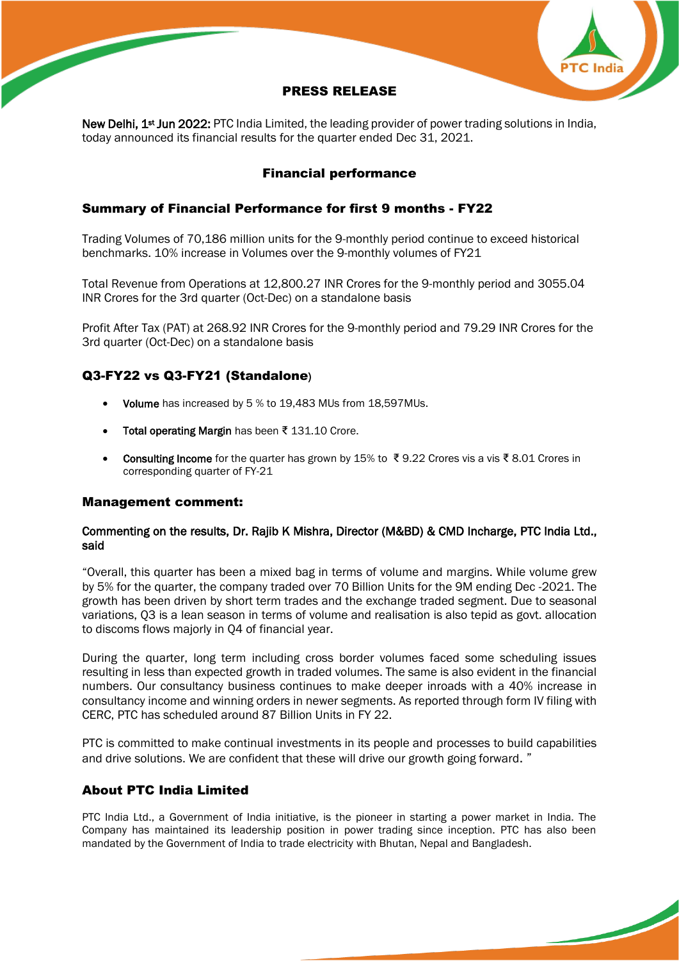

# PRESS RELEASE

New Delhi, 1<sup>st</sup> Jun 2022: PTC India Limited, the leading provider of power trading solutions in India, today announced its financial results for the quarter ended Dec 31, 2021.

## Financial performance

## Summary of Financial Performance for first 9 months - FY22

Trading Volumes of 70,186 million units for the 9-monthly period continue to exceed historical benchmarks. 10% increase in Volumes over the 9-monthly volumes of FY21

Total Revenue from Operations at 12,800.27 INR Crores for the 9-monthly period and 3055.04 INR Crores for the 3rd quarter (Oct-Dec) on a standalone basis

Profit After Tax (PAT) at 268.92 INR Crores for the 9-monthly period and 79.29 INR Crores for the 3rd quarter (Oct-Dec) on a standalone basis

## Q3-FY22 vs Q3-FY21 (Standalone)

- Volume has increased by 5 % to 19,483 MUs from 18,597 MUs.
- Total operating Margin has been ₹ 131.10 Crore.
- Consulting Income for the quarter has grown by 15% to ₹9.22 Crores vis a vis ₹8.01 Crores in corresponding quarter of FY-21

### Management comment:

### Commenting on the results, Dr. Rajib K Mishra, Director (M&BD) & CMD Incharge, PTC India Ltd., said

"Overall, this quarter has been a mixed bag in terms of volume and margins. While volume grew by 5% for the quarter, the company traded over 70 Billion Units for the 9M ending Dec -2021. The growth has been driven by short term trades and the exchange traded segment. Due to seasonal variations, Q3 is a lean season in terms of volume and realisation is also tepid as govt. allocation to discoms flows majorly in Q4 of financial year.

During the quarter, long term including cross border volumes faced some scheduling issues resulting in less than expected growth in traded volumes. The same is also evident in the financial numbers. Our consultancy business continues to make deeper inroads with a 40% increase in consultancy income and winning orders in newer segments. As reported through form IV filing with CERC, PTC has scheduled around 87 Billion Units in FY 22.

PTC is committed to make continual investments in its people and processes to build capabilities and drive solutions. We are confident that these will drive our growth going forward. "

### About PTC India Limited

PTC India Ltd., a Government of India initiative, is the pioneer in starting a power market in India. The Company has maintained its leadership position in power trading since inception. PTC has also been mandated by the Government of India to trade electricity with Bhutan, Nepal and Bangladesh.